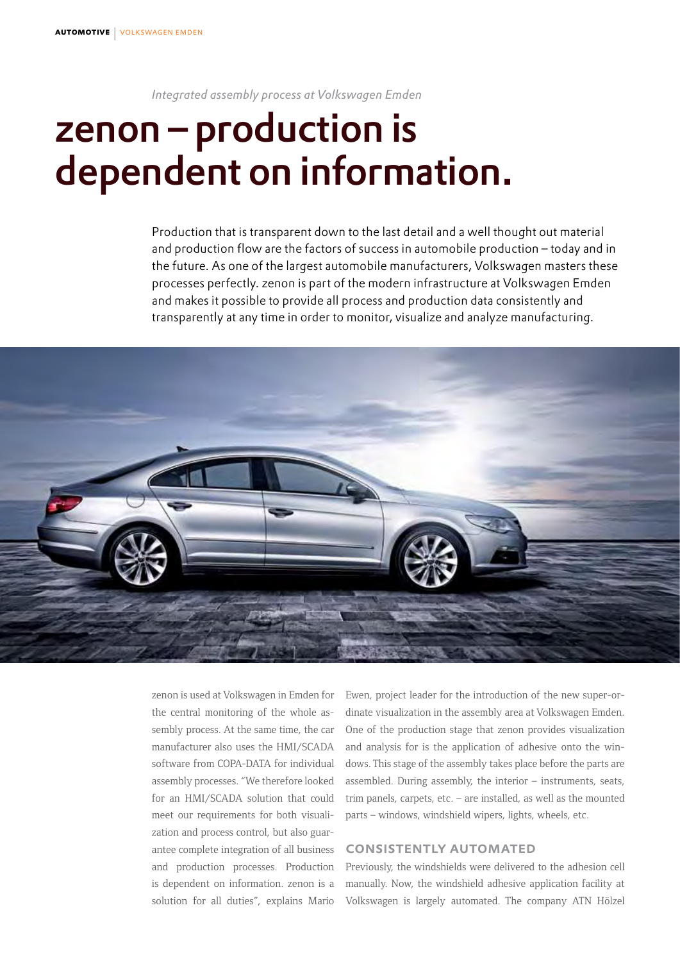*Integrated assembly process at Volkswagen Emden*

## zenon – production is dependent on information.

Production that is transparent down to the last detail and a well thought out material and production flow are the factors of success in automobile production – today and in the future. As one of the largest automobile manufacturers, Volkswagen masters these processes perfectly. zenon is part of the modern infrastructure at Volkswagen Emden and makes it possible to provide all process and production data consistently and transparently at any time in order to monitor, visualize and analyze manufacturing.



zenon is used at Volkswagen in Emden for the central monitoring of the whole assembly process. At the same time, the car manufacturer also uses the HMI/SCADA software from COPA-DATA for individual assembly processes. "We therefore looked for an HMI/SCADA solution that could meet our requirements for both visualization and process control, but also guarantee complete integration of all business and production processes. Production is dependent on information. zenon is a solution for all duties", explains Mario Ewen, project leader for the introduction of the new super-ordinate visualization in the assembly area at Volkswagen Emden. One of the production stage that zenon provides visualization and analysis for is the application of adhesive onto the windows. This stage of the assembly takes place before the parts are assembled. During assembly, the interior – instruments, seats, trim panels, carpets, etc. – are installed, as well as the mounted parts – windows, windshield wipers, lights, wheels, etc.

## consistently automated

Previously, the windshields were delivered to the adhesion cell manually. Now, the windshield adhesive application facility at Volkswagen is largely automated. The company ATN Hölzel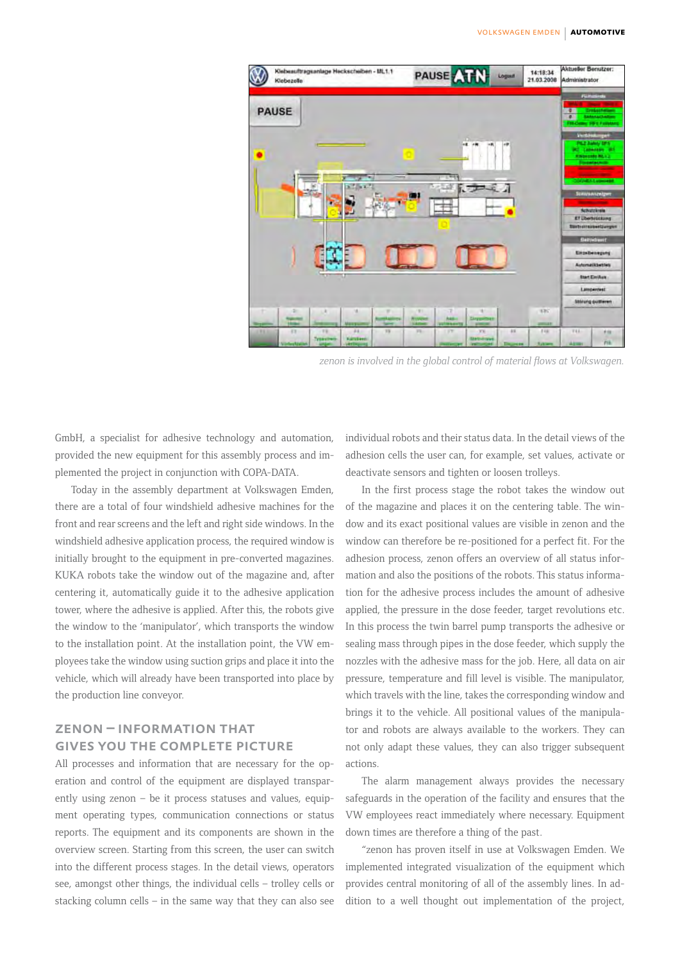

*zenon is involved in the global control of material flows at Volkswagen.*

GmbH, a specialist for adhesive technology and automation, provided the new equipment for this assembly process and implemented the project in conjunction with COPA-DATA.

Today in the assembly department at Volkswagen Emden, there are a total of four windshield adhesive machines for the front and rear screens and the left and right side windows. In the windshield adhesive application process, the required window is initially brought to the equipment in pre-converted magazines. KUKA robots take the window out of the magazine and, after centering it, automatically guide it to the adhesive application tower, where the adhesive is applied. After this, the robots give the window to the 'manipulator', which transports the window to the installation point. At the installation point, the VW employees take the window using suction grips and place it into the vehicle, which will already have been transported into place by the production line conveyor.

## zenon – information that gives you the complete picture

All processes and information that are necessary for the operation and control of the equipment are displayed transparently using zenon – be it process statuses and values, equipment operating types, communication connections or status reports. The equipment and its components are shown in the overview screen. Starting from this screen, the user can switch into the different process stages. In the detail views, operators see, amongst other things, the individual cells – trolley cells or stacking column cells – in the same way that they can also see

individual robots and their status data. In the detail views of the adhesion cells the user can, for example, set values, activate or deactivate sensors and tighten or loosen trolleys.

In the first process stage the robot takes the window out of the magazine and places it on the centering table. The window and its exact positional values are visible in zenon and the window can therefore be re-positioned for a perfect fit. For the adhesion process, zenon offers an overview of all status information and also the positions of the robots. This status information for the adhesive process includes the amount of adhesive applied, the pressure in the dose feeder, target revolutions etc. In this process the twin barrel pump transports the adhesive or sealing mass through pipes in the dose feeder, which supply the nozzles with the adhesive mass for the job. Here, all data on air pressure, temperature and fill level is visible. The manipulator, which travels with the line, takes the corresponding window and brings it to the vehicle. All positional values of the manipulator and robots are always available to the workers. They can not only adapt these values, they can also trigger subsequent actions.

The alarm management always provides the necessary safeguards in the operation of the facility and ensures that the VW employees react immediately where necessary. Equipment down times are therefore a thing of the past.

"zenon has proven itself in use at Volkswagen Emden. We implemented integrated visualization of the equipment which provides central monitoring of all of the assembly lines. In addition to a well thought out implementation of the project,